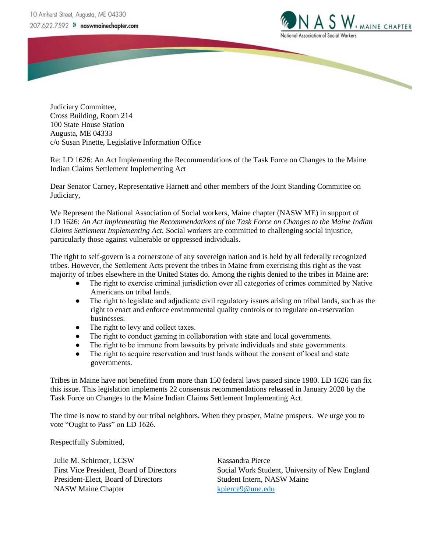

Judiciary Committee, Cross Building, Room 214 100 State House Station Augusta, ME 04333 c/o Susan Pinette, Legislative Information Office

Re: LD 1626: An Act Implementing the Recommendations of the Task Force on Changes to the Maine Indian Claims Settlement Implementing Act

Dear Senator Carney, Representative Harnett and other members of the Joint Standing Committee on Judiciary,

We Represent the National Association of Social workers, Maine chapter (NASW ME) in support of LD 1626: *An Act Implementing the Recommendations of the Task Force on Changes to the Maine Indian Claims Settlement Implementing Act.* Social workers are committed to challenging social injustice, particularly those against vulnerable or oppressed individuals.

The right to self-govern is a cornerstone of any sovereign nation and is held by all federally recognized tribes. However, the Settlement Acts prevent the tribes in Maine from exercising this right as the vast majority of tribes elsewhere in the United States do. Among the rights denied to the tribes in Maine are:

- The right to exercise criminal jurisdiction over all categories of crimes committed by Native Americans on tribal lands.
- The right to legislate and adjudicate civil regulatory issues arising on tribal lands, such as the right to enact and enforce environmental quality controls or to regulate on-reservation businesses.
- The right to levy and collect taxes.
- The right to conduct gaming in collaboration with state and local governments.
- The right to be immune from lawsuits by private individuals and state governments.
- The right to acquire reservation and trust lands without the consent of local and state governments.

Tribes in Maine have not benefited from more than 150 federal laws passed since 1980. LD 1626 can fix this issue. This legislation implements 22 consensus recommendations released in January 2020 by the Task Force on Changes to the Maine Indian Claims Settlement Implementing Act.

The time is now to stand by our tribal neighbors. When they prosper, Maine prospers. We urge you to vote "Ought to Pass" on LD 1626.

Respectfully Submitted,

Julie M. Schirmer, LCSW First Vice President, Board of Directors President-Elect, Board of Directors NASW Maine Chapter

Kassandra Pierce Social Work Student, University of New England Student Intern, NASW Maine <kpierce9@une.edu>